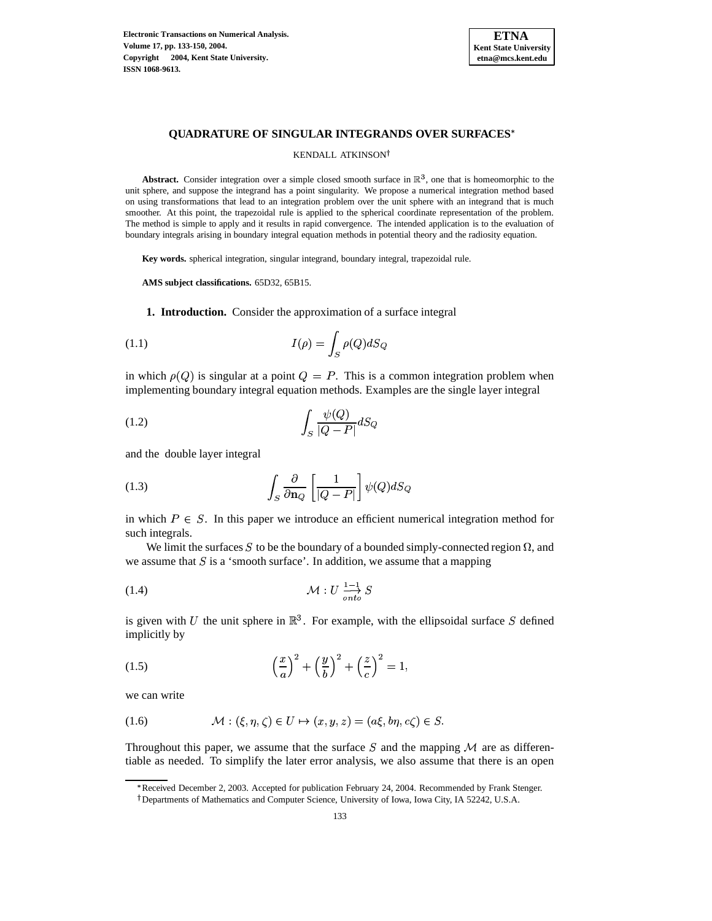**Electronic Transactions on Numerical Analysis. Volume 17, pp. 133-150, 2004. Copyright 2004, Kent State University. ISSN 1068-9613.**



# **QUADRATURE OF SINGULAR INTEGRANDS OVER SURFACES**

### <span id="page-0-4"></span><span id="page-0-1"></span>KENDALL ATKINSON

**Abstract.** Consider integration over a simple closed smooth surface in  $\mathbb{R}^3$ , one that is homeomorphic to the unit sphere, and suppose the integrand has a point singularity. We propose a numerical integration method based on using transformations that lead to an integration problem over the unit sphere with an integrand that is much smoother. At this point, the trapezoidal rule is applied to the spherical coordinate representation of the problem. The method is simple to apply and it results in rapid convergence. The intended application is to the evaluation of boundary integrals arising in boundary integral equation methods in potential theory and the radiosity equation.

**Key words.** spherical integration, singular integrand, boundary integral, trapezoidal rule.

**AMS subject classifications.** 65D32, 65B15.

**1. Introduction.** Consider the approximation of a surface integral

<span id="page-0-6"></span>
$$
(1.1)\qquad \qquad I(\rho) = \int_{S} \rho(Q) dS_Q
$$

in which  $\rho(Q)$  is singular at a point  $Q = P$ . This is a common integration problem when implementing boundary integral equation methods. Examples are the single layer integral

$$
\int_{S} \frac{\psi(Q)}{|Q - P|} dS_Q
$$

<span id="page-0-5"></span>and the double layer integral

(1.3) 
$$
\int_{S} \frac{\partial}{\partial \mathbf{n}_Q} \left[ \frac{1}{|Q - P|} \right] \psi(Q) dS_Q
$$

in which  $P \in S$ . In this paper we introduce an efficient numerical integration method for such integrals.

<span id="page-0-0"></span>We limit the surfaces S to be the boundary of a bounded simply-connected region  $\Omega$ , and we assume that  $S$  is a 'smooth surface'. In addition, we assume that a mapping

$$
\mathcal{M}: U \xrightarrow{\mathbf{1} - 1 \atop \text{onto}} S
$$

<span id="page-0-3"></span>is given with U the unit sphere in  $\mathbb{R}^{3}$ . For example, with the ellipsoidal surface S defined implicitly by

(1.5) 
$$
\left(\frac{x}{a}\right)^2 + \left(\frac{y}{b}\right)^2 + \left(\frac{z}{c}\right)^2 = 1,
$$

<span id="page-0-2"></span>we can write

(1.6) 
$$
\mathcal{M}: (\xi, \eta, \zeta) \in U \mapsto (x, y, z) = (a\xi, b\eta, c\zeta) \in S.
$$

Throughout this paper, we assume that the surface  $S$  and the mapping  $M$  are as differentiable as needed. To simplify the later error analysis, we also assume that there is an open

<sup>`</sup> Received December 2, 2003. Accepted for publication February 24, 2004. Recommended by Frank Stenger. <sup>†</sup> Departments of Mathematics and Computer Science, University of Iowa, Iowa City, IA 52242, U.S.A.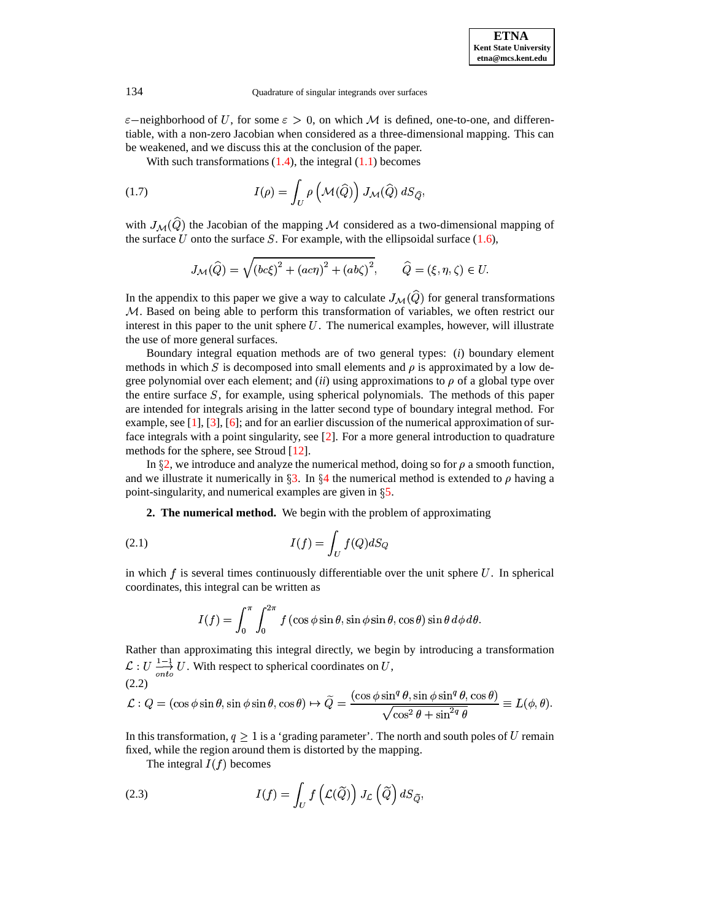$\varepsilon$ -neighborhood of U, for some  $\varepsilon > 0$ , on which M is defined, one-to-one, and differentiable, with a non-zero Jacobian when considered as a three-dimensional mapping. This can be weakened, and we discuss this at the conclusion of the paper.

With such transformations  $(1.4)$ , the integral  $(1.1)$  becomes

(1.7) 
$$
I(\rho) = \int_U \rho \left(\mathcal{M}(\widehat{Q})\right) J_\mathcal{M}(\widehat{Q}) dS_{\widehat{Q}},
$$

with  $J_{\mathcal{M}}(\widehat{Q})$  the Jacobian of the mapping M considered as a two-dimensional mapping of the surface U onto the surface S. For example, with the ellipsoidal surface  $(1.6)$ ,

<span id="page-1-2"></span>
$$
J_{\mathcal{M}}(\widehat{Q}) = \sqrt{(bc\xi)^2 + (ac\eta)^2 + (ab\zeta)^2}, \qquad \widehat{Q} = (\xi, \eta, \zeta) \in U.
$$

In the appendix to this paper we give a way to calculate  $J_{\mathcal{M}}(\widehat{Q})$  for general transformations *. Based on being able to perform this transformation of variables, we often restrict our* interest in this paper to the unit sphere  $U$ . The numerical examples, however, will illustrate the use of more general surfaces.

Boundary integral equation methods are of two general types: (*i*) boundary element methods in which S is decomposed into small elements and  $\rho$  is approximated by a low degree polynomial over each element; and *(ii)* using approximations to  $\rho$  of a global type over the entire surface  $S$ , for example, using spherical polynomials. The methods of this paper are intended for integrals arising in the latter second type of boundary integral method. For example, see [\[1\]](#page-17-0), [\[3\]](#page-17-1), [\[6\]](#page-17-2); and for an earlier discussion of the numerical approximation of surface integrals with a point singularity, see [\[2\]](#page-17-3). For a more general introduction to quadrature methods for the sphere, see Stroud [\[12\]](#page-17-4).

<span id="page-1-0"></span>In  $\S$ [2,](#page-1-0) we introduce and analyze the numerical method, doing so for  $\rho$  a smooth function, and we illustrate it numerically in  $\S 3$ . In  $\S 4$  $\S 4$  the numerical method is extended to  $\rho$  having a point-singularity, and numerical examples are given in  $\S$ [5.](#page-15-0)

**2. The numerical method.** We begin with the problem of approximating

$$
(2.1)\t\t\t I(f) = \int_U f(Q) dS_Q
$$

in which  $f$  is several times continuously differentiable over the unit sphere  $U$ . In spherical coordinates, this integral can be written as

<span id="page-1-3"></span><span id="page-1-1"></span>
$$
I(f) = \int_0^{\pi} \int_0^{2\pi} f(\cos \phi \sin \theta, \sin \phi \sin \theta, \cos \theta) \sin \theta \, d\phi \, d\theta.
$$

Rather than approximating this integral directly, we begin by introducing a transformation  $\mathcal{L}: U \longrightarrow U$ . With respect to spherical coordinates on U,  $(2.2)$ 

$$
\mathcal{L}: Q = (\cos \phi \sin \theta, \sin \phi \sin \theta, \cos \theta) \mapsto \widetilde{Q} = \frac{(\cos \phi \sin^q \theta, \sin \phi \sin^q \theta, \cos \theta)}{\sqrt{\cos^2 \theta + \sin^{2q} \theta}} \equiv L(\phi, \theta).
$$

In this transformation,  $q \geq 1$  is a 'grading parameter'. The north and south poles of U remain fixed, while the region around them is distorted by the mapping.

The integral  $I(f)$  becomes

(2.3) 
$$
I(f) = \int_U f\left(\mathcal{L}(\widetilde{Q})\right) J_{\mathcal{L}}\left(\widetilde{Q}\right) dS_{\widetilde{Q}},
$$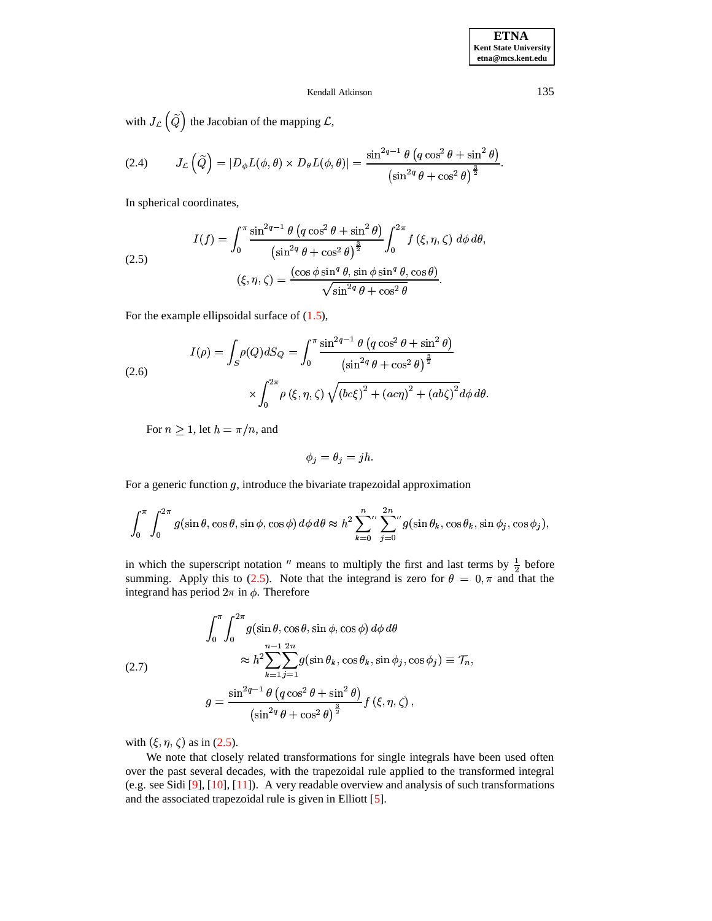with  $J_{\mathcal{L}}\left(\tilde{Q}\right)$  the Jacobian of the mapping  $\mathcal{L}$ ,

(2.4) 
$$
J_{\mathcal{L}}\left(\widetilde{Q}\right) = |D_{\phi}L(\phi,\theta) \times D_{\theta}L(\phi,\theta)| = \frac{\sin^{2q-1}\theta \left(q\cos^{2}\theta + \sin^{2}\theta\right)}{\left(\sin^{2q}\theta + \cos^{2}\theta\right)^{\frac{3}{2}}}.
$$

<span id="page-2-0"></span>In spherical coordinates,

(2.5)  

$$
I(f) = \int_0^{\pi} \frac{\sin^{2q-1} \theta \left( q \cos^2 \theta + \sin^2 \theta \right)}{\left( \sin^{2q} \theta + \cos^2 \theta \right)^{\frac{3}{2}}} \int_0^{2\pi} f(\xi, \eta, \zeta) d\phi d\theta,
$$

$$
(\xi, \eta, \zeta) = \frac{(\cos \phi \sin^q \theta, \sin \phi \sin^q \theta, \cos \theta)}{\sqrt{\sin^{2q} \theta + \cos^2 \theta}}.
$$

For the example ellipsoidal surface of  $(1.5)$ ,

(2.6)  

$$
I(\rho) = \int_{S} \rho(Q) dS_{Q} = \int_{0}^{\pi} \frac{\sin^{2q-1} \theta (q \cos^{2} \theta + \sin^{2} \theta)}{\left(\sin^{2q} \theta + \cos^{2} \theta\right)^{\frac{3}{2}}} \times \int_{0}^{2\pi} \rho (\xi, \eta, \zeta) \sqrt{\left(b c \xi\right)^{2} + \left(a c \eta\right)^{2} + \left(ab \zeta\right)^{2}} d\phi d\theta
$$

For  $n \geq 1$ , let  $h = \pi/n$ , and

$$
\phi_j = \theta_j = jh.
$$

For a generic function  $g$ , introduce the bivariate trapezoidal approximation

$$
\int_0^{\pi} \int_0^{2\pi} g(\sin \theta, \cos \theta, \sin \phi, \cos \phi) d\phi d\theta \approx h^2 \sum_{k=0}^n \sum_{j=0}^{2n} g(\sin \theta_k, \cos \theta_k, \sin \phi_j, \cos \phi_j),
$$

<span id="page-2-1"></span>in which the superscript notation " means to multiply the first and last terms by  $\frac{1}{2}$  before summing. Apply this to (2.5). Note that the integrand is zero for  $\theta = 0, \pi$  and that the integrand has period  $2\pi$  in  $\phi$ . Therefore

(2.7)  
\n
$$
\int_0^{\pi} \int_0^{2\pi} g(\sin \theta, \cos \theta, \sin \phi, \cos \phi) d\phi d\theta
$$
\n
$$
\approx h^2 \sum_{k=1}^{n-1} \sum_{j=1}^{2n} g(\sin \theta_k, \cos \theta_k, \sin \phi_j, \cos \phi_j) \equiv \mathcal{T}_n,
$$
\n
$$
g = \frac{\sin^{2q-1} \theta (q \cos^2 \theta + \sin^2 \theta)}{(\sin^{2q} \theta + \cos^2 \theta)^{\frac{3}{2}}} f(\xi, \eta, \zeta),
$$

with  $(\xi, \eta, \zeta)$  as in (2.5).

We note that closely related transformations for single integrals have been used often over the past several decades, with the trapezoidal rule applied to the transformed integral (e.g. see Sidi [9], [10], [11]). A very readable overview and analysis of such transformations and the associated trapezoidal rule is given in Elliott [5].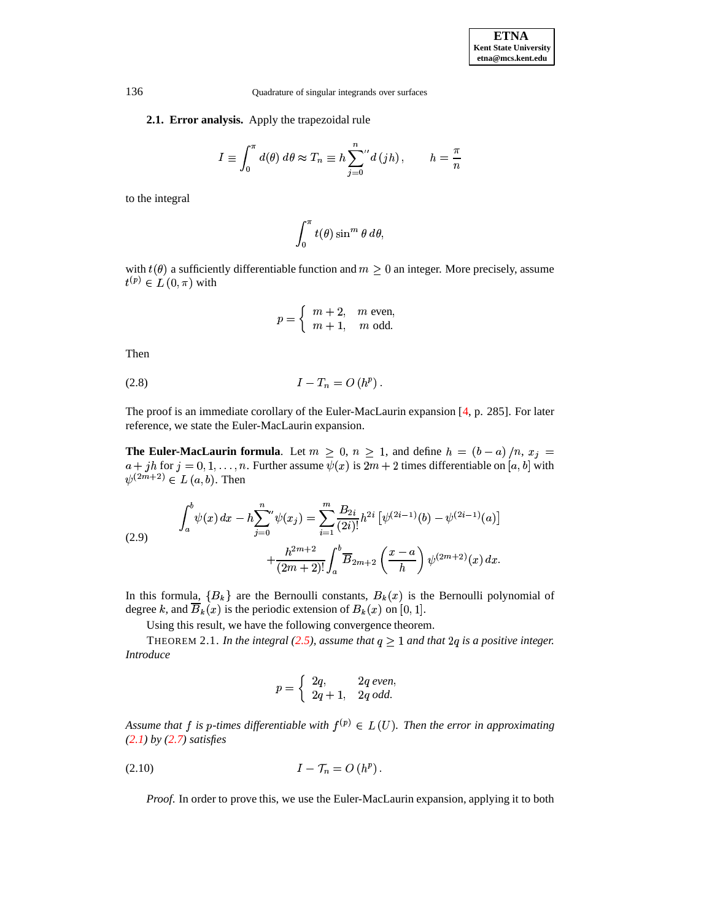## **2.1. Error analysis.** Apply the trapezoidal rule

$$
I \equiv \int_0^{\pi} d(\theta) \, d\theta \approx T_n \equiv h \sum_{j=0}^n {d(jh)}, \qquad h = \frac{\pi}{n}
$$

to the integral

$$
\int_0^{\pi} t(\theta) \sin^m \theta \ d\theta,
$$

with  $t(\theta)$  a sufficiently differentiable function and  $m \geq 0$  an integer. More precisely, assume  $t^{(p)} \in L(0, \pi)$  with  $\ddot{\phantom{0}}$ 

$$
p = \begin{cases} m+2, & m \text{ even,} \\ m+1, & m \text{ odd.} \end{cases}
$$

<span id="page-3-0"></span>Then

$$
(2.8) \tI - T_n = O(h^p).
$$

The proof is an immediate corollary of the Euler-MacLaurin expansion [\[4,](#page-17-9) p. 285]. For later reference, we state the Euler-MacLaurin expansion.

<span id="page-3-2"></span>**The Euler-MacLaurin formula**. Let  $m \geq 0$ ,  $n \geq 1$ , and define  $h = (b-a)/n$ ,  $x_j =$  $a + jh$  for  $j = 0, 1, ..., n$ . Further assume  $\psi(x)$  is  $2m + 2$  times differentiable on  $[a, b]$  with  $\psi^{(2m+2)} \in L(a, b)$ . Then  $\mathcal{L}$  respectively.  $\psi^{(2m+2)} \in L(a, b)$ . Then

(2.9) 
$$
\int_{a}^{b} \psi(x) dx - h \sum_{j=0}^{n} \psi(x_{j}) = \sum_{i=1}^{m} \frac{B_{2i}}{(2i)!} h^{2i} \left[ \psi^{(2i-1)}(b) - \psi^{(2i-1)}(a) \right] + \frac{h^{2m+2}}{(2m+2)!} \int_{a}^{b} \overline{B}_{2m+2} \left( \frac{x-a}{h} \right) \psi^{(2m+2)}(x) dx.
$$

In this formula,  $\{B_k\}$  are the Bernoulli constants,  $B_k(x)$  is the Bernoulli polynomial of degree k, and  $B_k(x)$  is the periodic extension of  $B_k(x)$  on [0, 1].

Using this result, we have the following convergence theorem.

<span id="page-3-3"></span>THEOREM 2.1. *In the integral* [\(2.5\)](#page-2-0), assume that  $q \geq 1$  and that  $2q$  is a positive integer. *Introduce*

$$
p = \begin{cases} 2q, & 2q \text{ even,} \\ 2q+1, & 2q \text{ odd.} \end{cases}
$$

<span id="page-3-1"></span>Assume that  $f$  is p-times differentiable with  $f^{(p)} \in L(U)$ . Then the error in approximating *[\(2.1\)](#page-1-1) by [\(2.7\)](#page-2-1) satisfies*

$$
(2.10) \tI - \mathcal{T}_n = O(h^p).
$$

*Proof*. In order to prove this, we use the Euler-MacLaurin expansion, applying it to both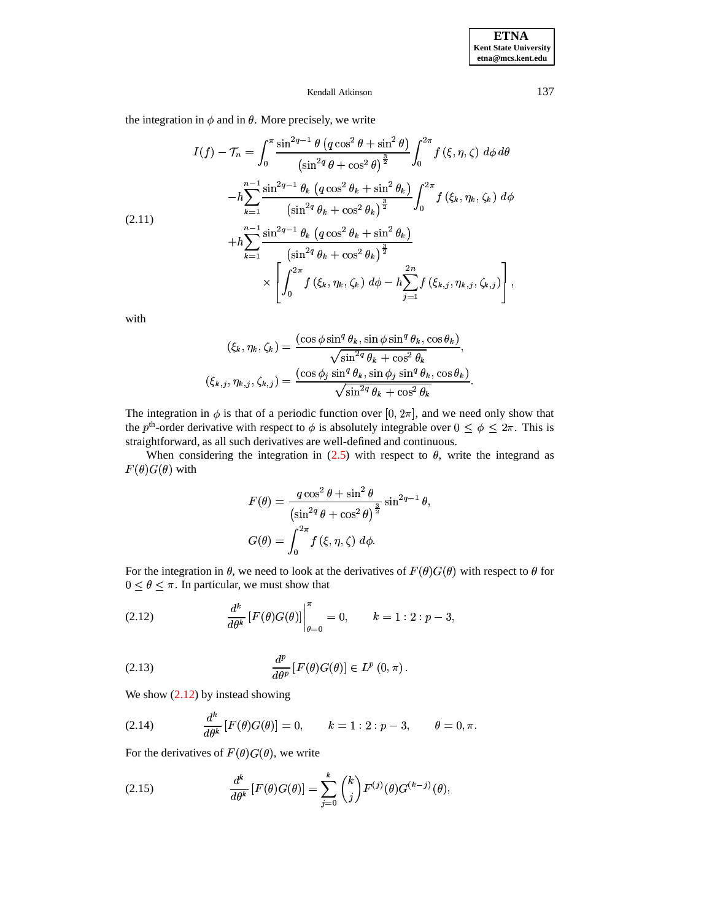the integration in  $\phi$  and in  $\theta$ . More precisely, we write

$$
I(f) - \mathcal{T}_n = \int_0^{\pi} \frac{\sin^{2q-1} \theta \left( q \cos^2 \theta + \sin^2 \theta \right)}{\left( \sin^{2q} \theta + \cos^2 \theta \right)^{\frac{3}{2}}} \int_0^{2\pi} f(\xi, \eta, \zeta) \, d\phi \, d\theta
$$

$$
-h \sum_{k=1}^{n-1} \frac{\sin^{2q-1} \theta_k \left( q \cos^2 \theta_k + \sin^2 \theta_k \right)}{\left( \sin^{2q} \theta_k + \cos^2 \theta_k \right)^{\frac{3}{2}}} \int_0^{2\pi} f(\xi_k, \eta_k, \zeta_k) \, d\phi
$$

$$
+ h \sum_{k=1}^{n-1} \frac{\sin^{2q-1} \theta_k \left( q \cos^2 \theta_k + \sin^2 \theta_k \right)}{\left( \sin^{2q} \theta_k + \cos^2 \theta_k \right)^{\frac{3}{2}}} \times \left[ \int_0^{2\pi} f(\xi_k, \eta_k, \zeta_k) \, d\phi - h \sum_{j=1}^{2n} f(\xi_{k,j}, \eta_{k,j}, \zeta_{k,j}) \right],
$$

with

$$
(\xi_k, \eta_k, \zeta_k) = \frac{(\cos \phi \sin^q \theta_k, \sin \phi \sin^q \theta_k, \cos \theta_k)}{\sqrt{\sin^{2q} \theta_k + \cos^2 \theta_k}},
$$

$$
(\xi_{k,j}, \eta_{k,j}, \zeta_{k,j}) = \frac{(\cos \phi_j \sin^q \theta_k, \sin \phi_j \sin^q \theta_k, \cos \theta_k)}{\sqrt{\sin^{2q} \theta_k + \cos^2 \theta_k}}.
$$

The integration in  $\phi$  is that of a periodic function over [0, 2 $\pi$ ], and we need only show that the p<sup>th</sup>-order derivative with respect to  $\phi$  is absolutely integrable over  $0 \le \phi \le 2\pi$ . This is straightforward, as all such derivatives are well-defined and continuous.

When considering the integration in  $(2.5)$  with respect to  $\theta$ , write the integrand as  $F(\theta)G(\theta)$  with

<span id="page-4-0"></span>
$$
F(\theta) = \frac{q\cos^2\theta + \sin^2\theta}{\left(\sin^{2q}\theta + \cos^2\theta\right)^{\frac{3}{2}}}\sin^{2q-1}\theta,
$$
  

$$
G(\theta) = \int_0^{2\pi} f(\xi, \eta, \zeta) d\phi.
$$

For the integration in  $\theta$ , we need to look at the derivatives of  $F(\theta)G(\theta)$  with respect to  $\theta$  for  $0 \le \theta \le \pi$ . In particular, we must show that

<span id="page-4-1"></span>(2.12) 
$$
\frac{d^k}{d\theta^k} [F(\theta)G(\theta)] \Big|_{\theta=0}^{\pi} = 0, \qquad k = 1:2: p-3,
$$

(2.13) 
$$
\frac{d^p}{d\theta^p} \left[ F(\theta) G(\theta) \right] \in L^p(0, \pi).
$$

We show  $(2.12)$  by instead showing

(2.14) 
$$
\frac{d^k}{d\theta^k} [F(\theta)G(\theta)] = 0, \qquad k = 1:2: p-3, \qquad \theta = 0, \pi.
$$

<span id="page-4-2"></span>For the derivatives of  $F(\theta)G(\theta)$ , we write

(2.15) 
$$
\frac{d^k}{d\theta^k} [F(\theta)G(\theta)] = \sum_{j=0}^k {k \choose j} F^{(j)}(\theta)G^{(k-j)}(\theta),
$$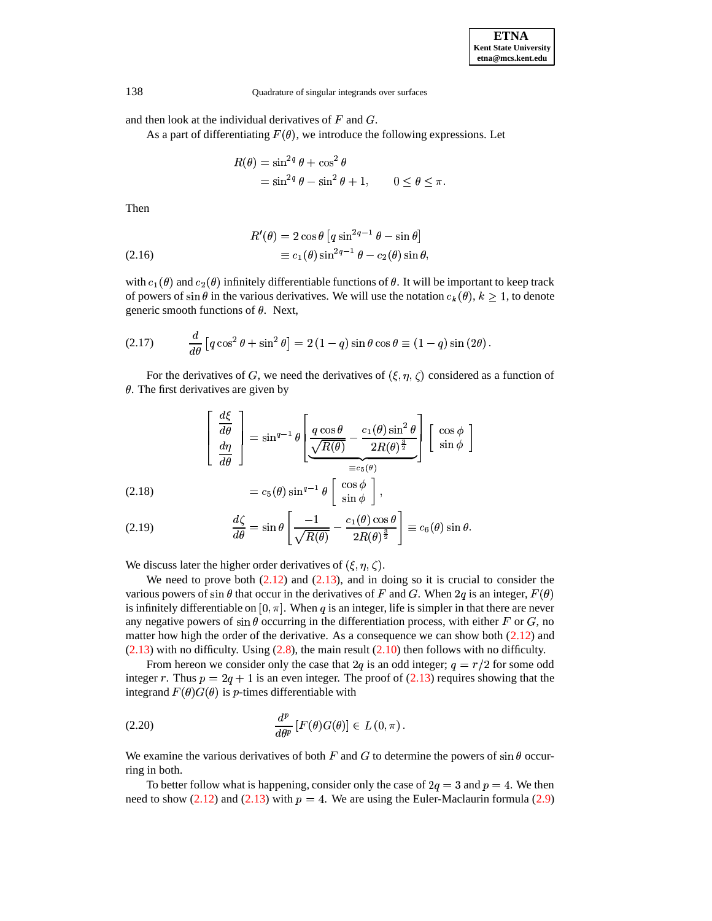and then look at the individual derivatives of  $F$  and  $G$ .

As a part of differentiating  $F(\theta)$ , we introduce the following expressions. Let

$$
R(\theta) = \sin^{2q} \theta + \cos^2 \theta
$$
  
=  $\sin^{2q} \theta - \sin^2 \theta + 1$ ,  $0 \le \theta \le \pi$ 

Then

(2.16) 
$$
R'(\theta) = 2 \cos \theta \left[ q \sin^{2q-1} \theta - \sin \theta \right]
$$

$$
\equiv c_1(\theta) \sin^{2q-1} \theta - c_2(\theta) \sin \theta,
$$

with  $c_1(\theta)$  and  $c_2(\theta)$  infinitely differentiable functions of  $\theta$ . It will be important to keep track of powers of  $\sin \theta$  in the various derivatives. We will use the notation  $c_k(\theta)$ ,  $k \ge 1$ , to denote generic smooth functions of  $\theta$ . Next,

$$
(2.17) \qquad \frac{d}{d\theta} \left[ q \cos^2 \theta + \sin^2 \theta \right] = 2 \left( 1 - q \right) \sin \theta \cos \theta \equiv (1 - q) \sin \left( 2\theta \right).
$$

For the derivatives of G, we need the derivatives of  $(\xi, \eta, \zeta)$  considered as a function of  $\theta$ . The first derivatives are given by

$$
\begin{bmatrix} \frac{d\xi}{d\theta} \\ \frac{d\eta}{d\theta} \end{bmatrix} = \sin^{q-1} \theta \begin{bmatrix} \frac{q\cos\theta}{\sqrt{R(\theta)}} - \frac{c_1(\theta)\sin^2\theta}{2R(\theta)^{\frac{3}{2}}} \end{bmatrix} \begin{bmatrix} \cos\phi \\ \sin\phi \end{bmatrix}
$$

(2.18) 
$$
= c_5(\theta) \sin^{q-1} \theta \left[ \begin{array}{c} \cos \phi \\ \sin \phi \end{array} \right]
$$

(2.19) 
$$
\frac{d\zeta}{d\theta} = \sin \theta \left[ \frac{-1}{\sqrt{R(\theta)}} - \frac{c_1(\theta) \cos \theta}{2R(\theta)^{\frac{3}{2}}} \right] \equiv c_6(\theta) \sin \theta.
$$

We discuss later the higher order derivatives of  $(\xi, \eta, \zeta)$ .

We need to prove both  $(2.12)$  and  $(2.13)$ , and in doing so it is crucial to consider the various powers of sin  $\theta$  that occur in the derivatives of F and G. When 2q is an integer,  $F(\theta)$ is infinitely differentiable on  $[0, \pi]$ . When q is an integer, life is simpler in that there are never any negative powers of  $\sin \theta$  occurring in the differentiation process, with either F or G, no matter how high the order of the derivative. As a consequence we can show both  $(2.12)$  and  $(2.13)$  with no difficulty. Using  $(2.8)$ , the main result  $(2.10)$  then follows with no difficulty.

From hereon we consider only the case that 2q is an odd integer;  $q = r/2$  for some odd integer r. Thus  $p = 2q + 1$  is an even integer. The proof of (2.13) requires showing that the integrand  $F(\theta)G(\theta)$  is *p*-times differentiable with

(2.20) 
$$
\frac{d^p}{d\theta^p} \left[ F(\theta) G(\theta) \right] \in L(0, \pi).
$$

We examine the various derivatives of both F and G to determine the powers of  $\sin \theta$  occurring in both.

To better follow what is happening, consider only the case of  $2q = 3$  and  $p = 4$ . We then need to show (2.12) and (2.13) with  $p = 4$ . We are using the Euler-Maclaurin formula (2.9)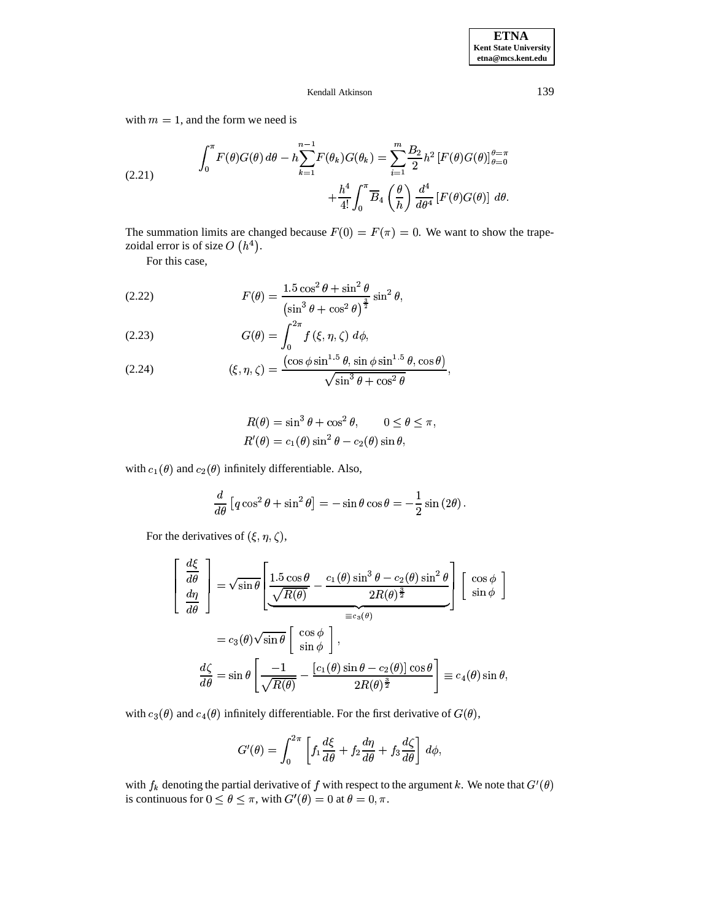<span id="page-6-0"></span>with  $m = 1$ , and the form we need is

(2.21) 
$$
\int_0^{\pi} F(\theta)G(\theta) d\theta - h \sum_{k=1}^{n-1} F(\theta_k)G(\theta_k) = \sum_{i=1}^{m} \frac{B_2}{2} h^2 \left[ F(\theta)G(\theta) \right]_{\theta=0}^{\theta=\pi} + \frac{h^4}{4!} \int_0^{\pi} \overline{B}_4 \left( \frac{\theta}{h} \right) \frac{d^4}{d\theta^4} \left[ F(\theta)G(\theta) \right] d\theta.
$$

The summation limits are changed because  $F(0) = F(\pi) = 0$ . We want to show the trapezoidal error is of size  $O(h^4)$ .

For this case,

<span id="page-6-1"></span>(2.22) 
$$
F(\theta) = \frac{1.5 \cos^2 \theta + \sin^2 \theta}{\left(\sin^3 \theta + \cos^2 \theta\right)^{\frac{3}{2}}} \sin^2 \theta,
$$

$$
(2.23) \tG(\theta) = \int_0^{2\pi} f(\xi, \eta, \zeta) d\phi,
$$

<span id="page-6-2"></span>(2.24) 
$$
(\xi, \eta, \zeta) = \frac{(\cos \phi \sin^{1.5} \theta, \sin \phi \sin^{1.5} \theta, \cos \theta)}{\sqrt{\sin^3 \theta + \cos^2 \theta}}
$$

$$
R(\theta) = \sin^3 \theta + \cos^2 \theta, \qquad 0 \le \theta \le \pi,
$$
  

$$
R'(\theta) = c_1(\theta) \sin^2 \theta - c_2(\theta) \sin \theta,
$$

with  $c_1(\theta)$  and  $c_2(\theta)$  infinitely differentiable. Also,

$$
\frac{d}{d\theta} \left[ q \cos^2 \theta + \sin^2 \theta \right] = -\sin \theta \cos \theta = -\frac{1}{2} \sin (2\theta).
$$

For the derivatives of  $(\xi, \eta, \zeta)$ ,

$$
\begin{aligned}\n\frac{d\xi}{d\theta} \\
\frac{d\eta}{d\theta}\n\end{aligned}\n=\n\sqrt{\sin\theta} \left[\n\frac{1.5 \cos\theta}{\sqrt{R(\theta)}} - \frac{c_1(\theta) \sin^3\theta - c_2(\theta) \sin^2\theta}{2R(\theta)^{\frac{3}{2}}}\n\right] \left[\n\begin{array}{c}\n\cos\phi \\
\sin\phi\n\end{array}\n\right] \\
= c_3(\theta)\sqrt{\sin\theta} \left[\n\begin{array}{c}\n\cos\phi \\
\sin\phi\n\end{array}\n\right], \\
\frac{d\zeta}{d\theta} = \sin\theta \left[\n\frac{-1}{\sqrt{R(\theta)}} - \frac{[c_1(\theta) \sin\theta - c_2(\theta)] \cos\theta}{2R(\theta)^{\frac{3}{2}}}\n\right] \equiv c_4(\theta) \sin\theta,
$$

with  $c_3(\theta)$  and  $c_4(\theta)$  infinitely differentiable. For the first derivative of  $G(\theta)$ ,

$$
G'(\theta) = \int_0^{2\pi} \left[ f_1 \frac{d\xi}{d\theta} + f_2 \frac{d\eta}{d\theta} + f_3 \frac{d\zeta}{d\theta} \right] d\phi,
$$

with  $f_k$  denoting the partial derivative of  $f$  with respect to the argument  $k$ . We note that  $G'(\theta)$ is continuous for  $0 \le \theta \le \pi$ , with  $G'(\theta) = 0$  at  $\theta = 0, \pi$ .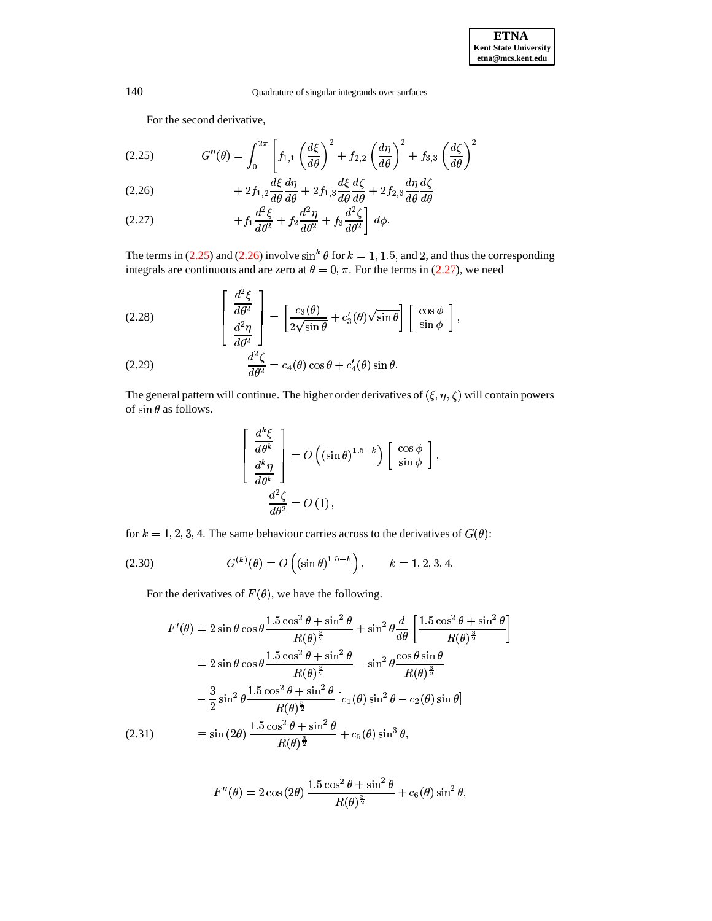For the second derivative,

<span id="page-7-0"></span>
$$
(2.25) \tG''(\theta) = \int_0^{2\pi} \left[ f_{1,1} \left( \frac{d\xi}{d\theta} \right)^2 + f_{2,2} \left( \frac{d\eta}{d\theta} \right)^2 + f_{3,3} \left( \frac{d\zeta}{d\theta} \right)^2 \right]
$$

<span id="page-7-1"></span>(2.26) 
$$
\begin{aligned}\n &\int_{0}^{\infty} \frac{d\xi}{d\theta} \frac{d\eta}{d\theta} + 2f_{1,3} \frac{d\xi}{d\theta} \frac{d\zeta}{d\theta} + 2f_{2,3} \frac{d\eta}{d\theta} \frac{d\zeta}{d\theta} \\
 &\quad + 2f_{1,2} \frac{d\xi}{d\theta} \frac{d\eta}{d\theta} + 2f_{2,3} \frac{d\eta}{d\theta} \frac{d\zeta}{d\theta}\n \end{aligned}
$$

<span id="page-7-2"></span>
$$
(2.27) \t\t\t\t\t+f_1\frac{d^2\xi}{d\theta^2}+f_2\frac{d^2\eta}{d\theta^2}+f_3\frac{d^2\zeta}{d\theta^2}\bigg] d\phi.
$$

The terms in (2.25) and (2.26) involve  $\sin^k \theta$  for  $k = 1, 1.5$ , and 2, and thus the corresponding integrals are continuous and are zero at  $\theta = 0, \pi$ . For the terms in (2.27), we need

(2.28) 
$$
\begin{bmatrix} \frac{d^2 \xi}{d\theta^2} \\ \frac{d^2 \eta}{d\theta^2} \end{bmatrix} = \left[ \frac{c_3(\theta)}{2\sqrt{\sin \theta}} + c'_3(\theta)\sqrt{\sin \theta} \right] \begin{bmatrix} \cos \phi \\ \sin \phi \end{bmatrix},
$$

(2.29) 
$$
\frac{d^2\zeta}{d\theta^2} = c_4(\theta)\cos\theta + c'_4(\theta)\sin\theta.
$$

The general pattern will continue. The higher order derivatives of  $(\xi, \eta, \zeta)$  will contain powers of  $\sin\theta$  as follows.

$$
\begin{bmatrix}\n\frac{d^k \xi}{d\theta^k} \\
\frac{d^k \eta}{d\theta^k}\n\end{bmatrix} = O\left((\sin \theta)^{1.5-k}\right) \begin{bmatrix}\n\cos \phi \\
\sin \phi\n\end{bmatrix},
$$
\n
$$
\frac{d^2 \zeta}{d\theta^2} = O(1),
$$

for  $k = 1, 2, 3, 4$ . The same behaviour carries across to the derivatives of  $G(\theta)$ :

(2.30) 
$$
G^{(k)}(\theta) = O\left(\left(\sin \theta\right)^{1.5-k}\right), \qquad k = 1, 2, 3, 4.
$$

For the derivatives of  $F(\theta)$ , we have the following.

$$
F'(\theta) = 2 \sin \theta \cos \theta \frac{1.5 \cos^2 \theta + \sin^2 \theta}{R(\theta)^{\frac{3}{2}}} + \sin^2 \theta \frac{d}{d\theta} \left[ \frac{1.5 \cos^2 \theta + \sin^2 \theta}{R(\theta)^{\frac{3}{2}}} \right]
$$
  

$$
= 2 \sin \theta \cos \theta \frac{1.5 \cos^2 \theta + \sin^2 \theta}{R(\theta)^{\frac{3}{2}}} - \sin^2 \theta \frac{\cos \theta \sin \theta}{R(\theta)^{\frac{3}{2}}}
$$
  

$$
- \frac{3}{2} \sin^2 \theta \frac{1.5 \cos^2 \theta + \sin^2 \theta}{R(\theta)^{\frac{5}{2}}} \left[ c_1(\theta) \sin^2 \theta - c_2(\theta) \sin \theta \right]
$$
  

$$
(2.31) \qquad \equiv \sin (2\theta) \frac{1.5 \cos^2 \theta + \sin^2 \theta}{R(\theta)^{\frac{3}{2}}} + c_5(\theta) \sin^3 \theta,
$$

$$
F''(\theta) = 2 \cos(2\theta) \frac{1.5 \cos^2 \theta + \sin^2 \theta}{R(\theta)^{\frac{3}{2}}} + c_6(\theta) \sin^2 \theta,
$$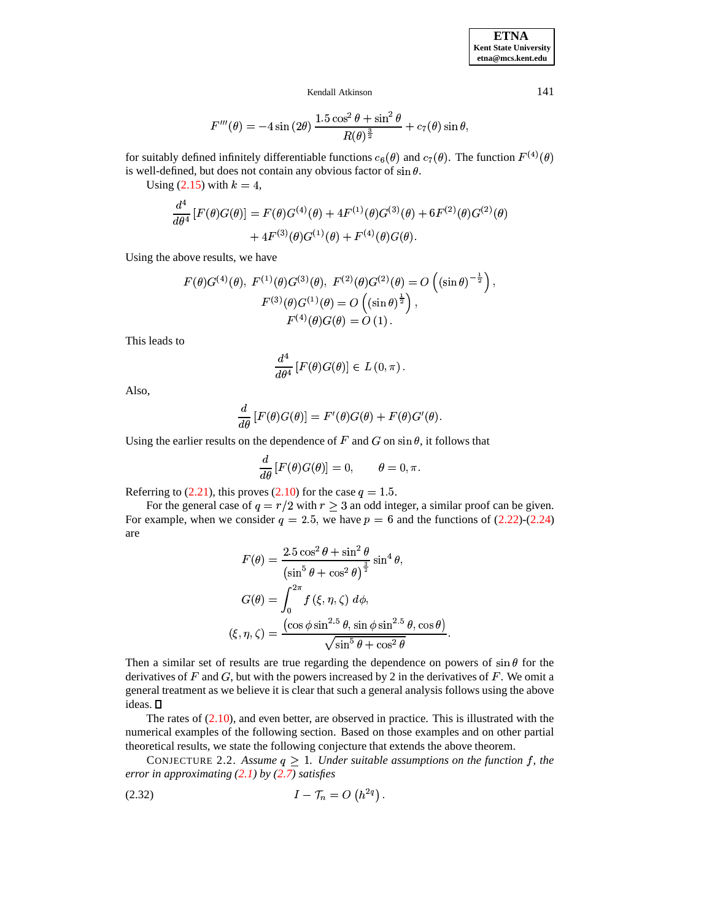$$
F'''(\theta) = -4 \sin (2\theta) \frac{1.5 \cos^2 \theta + \sin^2 \theta}{R(\theta)^{\frac{3}{2}}} + c_7(\theta) \sin \theta,
$$

for suitably defined infinitely differentiable functions  $c_6(\theta)$  and  $c_7(\theta)$ . The function  $F^{(4)}(\theta)$ is well-defined, but does not contain any obvious factor of  $\sin \theta$ .

Using  $(2.15)$  with  $k = 4$ ,

$$
\frac{d^4}{d\theta^4} \left[ F(\theta)G(\theta) \right] = F(\theta)G^{(4)}(\theta) + 4F^{(1)}(\theta)G^{(3)}(\theta) + 6F^{(2)}(\theta)G^{(2)}(\theta) + 4F^{(3)}(\theta)G^{(1)}(\theta) + F^{(4)}(\theta)G(\theta).
$$

Using the above results, we have

$$
F(\theta)G^{(4)}(\theta), F^{(1)}(\theta)G^{(3)}(\theta), F^{(2)}(\theta)G^{(2)}(\theta) = O\left((\sin \theta)^{-\frac{1}{2}}\right),
$$

$$
F^{(3)}(\theta)G^{(1)}(\theta) = O\left((\sin \theta)^{\frac{1}{2}}\right),
$$

$$
F^{(4)}(\theta)G(\theta) = O(1).
$$

This leads to

$$
\frac{d^4}{d\theta^4}\left[F(\theta)G(\theta)\right] \in L(0,\pi).
$$

Also,

$$
\frac{d}{d\theta}[F(\theta)G(\theta)]=F'(\theta)G(\theta)+F(\theta)G'(\theta).
$$

Using the earlier results on the dependence of F and G on  $\sin \theta$ , it follows that

$$
\frac{d}{d\theta}\left[F(\theta)G(\theta)\right] = 0, \qquad \theta = 0, \pi.
$$

Referring to  $(2.21)$ , this proves  $(2.10)$  for the case  $q = 1.5$ .

For the general case of  $q = r/2$  with  $r \geq 3$  an odd integer, a similar proof can be given. For example, when we consider  $q = 2.5$ , we have  $p = 6$  and the functions of [\(2.22\)](#page-6-1)-[\(2.24\)](#page-6-2) are

$$
F(\theta) = \frac{2.5 \cos^2 \theta + \sin^2 \theta}{\left(\sin^5 \theta + \cos^2 \theta\right)^{\frac{3}{2}}} \sin^4 \theta,
$$
  

$$
G(\theta) = \int_0^{2\pi} f(\xi, \eta, \zeta) d\phi,
$$
  

$$
(\xi, \eta, \zeta) = \frac{\left(\cos \phi \sin^{2.5} \theta, \sin \phi \sin^{2.5} \theta, \cos \theta\right)}{\sqrt{\sin^5 \theta + \cos^2 \theta}}.
$$

Then a similar set of results are true regarding the dependence on powers of  $\sin \theta$  for the derivatives of F and G, but with the powers increased by 2 in the derivatives of F. We omit a general treatment as we believe it is clear that such a general analysis follows using the above ideas.

The rates of [\(2.10\)](#page-3-1), and even better, are observed in practice. This is illustrated with the numerical examples of the following section. Based on those examples and on other partial theoretical results, we state the following conjecture that extends the above theorem.

<span id="page-8-0"></span>CONJECTURE 2.2. Assume  $q \geq 1$ . Under suitable assumptions on the function f, the \* *error in approximating [\(2.1\)](#page-1-1) by [\(2.7\)](#page-2-1) satisfies*

$$
(2.32) \tI - \mathcal{T}_n = O\left(h^{2q}\right).
$$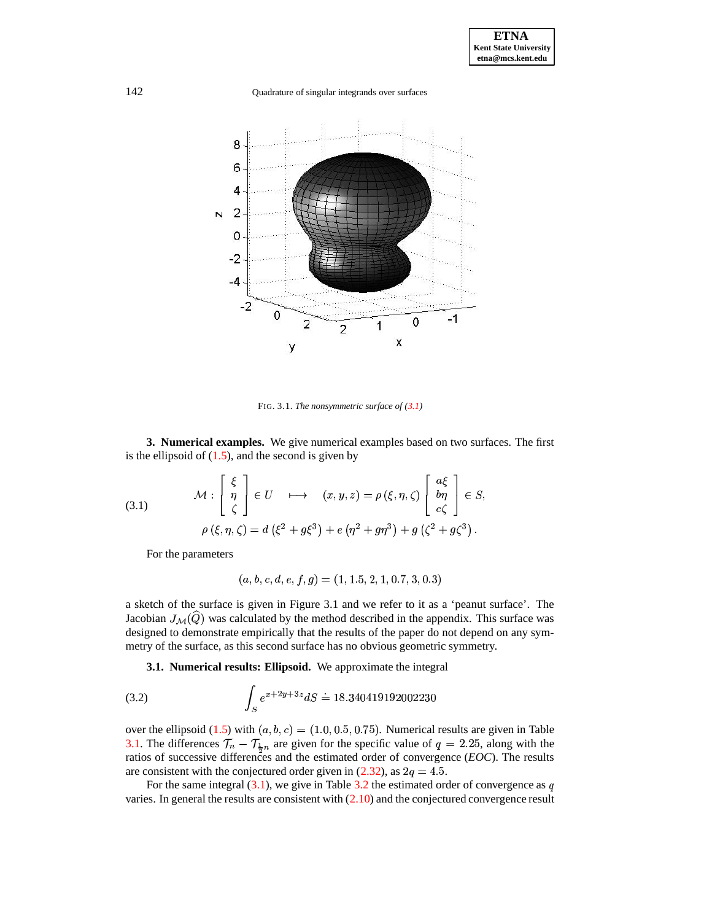

<span id="page-9-1"></span>FIG. 3.1. *The nonsymmetric surface of [\(3.1\)](#page-9-1)*

<span id="page-9-0"></span>**3. Numerical examples.** We give numerical examples based on two surfaces. The first is the ellipsoid of  $(1.5)$ , and the second is given by

(3.1) 
$$
\mathcal{M}: \begin{bmatrix} \xi \\ \eta \\ \zeta \end{bmatrix} \in U \longrightarrow (x, y, z) = \rho(\xi, \eta, \zeta) \begin{bmatrix} a\xi \\ b\eta \\ c\zeta \end{bmatrix} \in S,
$$

$$
\rho(\xi, \eta, \zeta) = d(\xi^2 + g\xi^3) + e(\eta^2 + g\eta^3) + g(\zeta^2 + g\zeta^3).
$$

For the parameters

<span id="page-9-2"></span>
$$
(a,b,c,d,e,f,g)=(1,1.5,2,1,0.7,3,0.3)\,
$$

a sketch of the surface is given in Figure 3.1 and we refer to it as a 'peanut surface'. The Jacobian  $J_{\mathcal{M}}(\widehat{Q})$  was calculated by the method described in the appendix. This surface was designed to demonstrate empirically that the results of the paper do not depend on any symmetry of the surface, as this second surface has no obvious geometric symmetry.

**3.1. Numerical results: Ellipsoid.** We approximate the integral

(3.2) 
$$
\int_{S} e^{x+2y+3z} dS = 18.340419192002230
$$

over the ellipsoid [\(1.5\)](#page-0-3) with  $(a, b, c) = (1.0, 0.5, 0.75)$ . Numerical results are given in Table over the ellipsoid (1.5) with  $(a, b, c) = (1.0, 0.5, 0.75)$ . Numerical results are given in Table [3.1.](#page-15-1) The differences  $\mathcal{T}_n - \mathcal{T}_{\frac{1}{2}n}$  are given for the specific value of  $q = 2.25$ , along with the retire of guessesive ratios of successive differences and the estimated order of convergence (*EOC*). The results are consistent with the conjectured order given in  $(2.32)$ , as  $2q = 4.5$ .

For the same integral  $(3.1)$ , we give in Table [3.2](#page-16-0) the estimated order of convergence as q varies. In general the results are consistent with  $(2.10)$  and the conjectured convergence result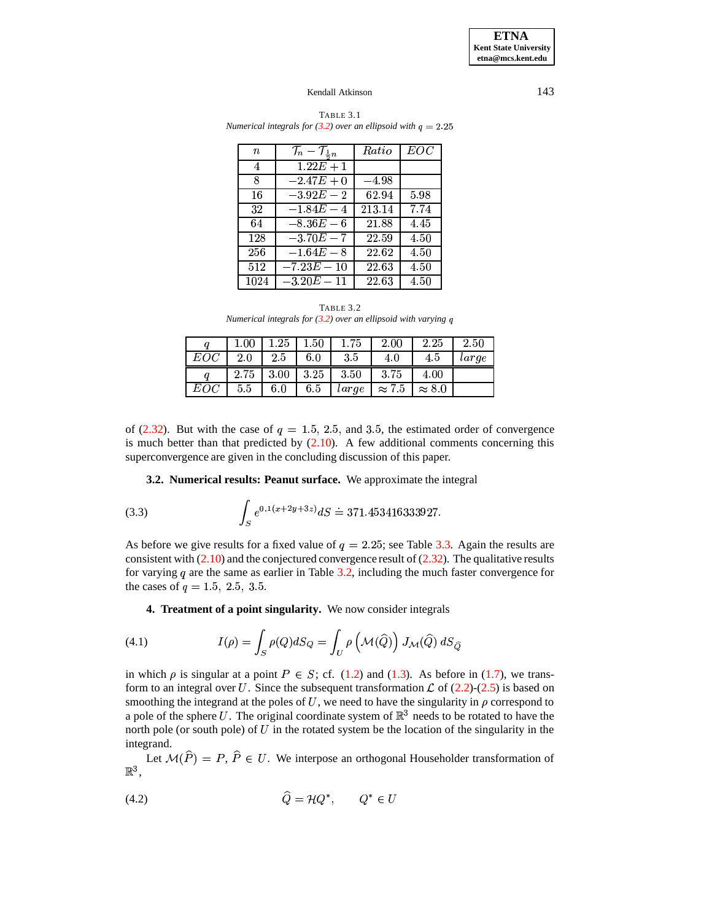**ETNA Kent State University**  $etna@mcs. kent.edu$ 

#### Kendall Atkinson

| $\it n$ | $\mathcal{T}_n - \mathcal{T}_{\frac{1}{2}n}$ | Ratio   | EOC      |
|---------|----------------------------------------------|---------|----------|
| 4       | $1.22E + 1$                                  |         |          |
| 8       | $-2.47E + 0$                                 | $-4.98$ |          |
| 16      | $-3.92E - 2$                                 | 62.94   | 5.98     |
| 32      | $-1.84E - 4$                                 | 213.14  | 7.74     |
| 64      | $-8.36E-6$                                   | 21.88   | 4.45     |
| 128     | $-3.70E - 7$                                 | 22.59   | 4.50     |
| 256     | $-1.64E - 8$                                 | 22.62   | $4.50\,$ |
| 512     | $-7.23E - 10$                                | 22.63   | 4.50     |
| 1024    | $-3.20E-11$                                  | 22.63   | 4.50     |

TABLE 3.1 Numerical integrals for (3.2) over an ellipsoid with  $q = 2.25$ 

TABLE 3.2 Numerical integrals for  $(3.2)$  over an ellipsoid with varying q

|     | $1.00\,$ | $1.25\,$ | $1.50\,$ | $1.75\,$ | 2.00          | 2.25          | 2.50  |
|-----|----------|----------|----------|----------|---------------|---------------|-------|
| EOC | 2.0      | 2.5      | 6.0      | 3.5      | 4.0           | 4.5           | large |
|     | 2.75     | 3.00     | 3.25     | 3.50     | 3.75          | 4.00          |       |
| EOC | 5.5      | 6.0      | 6.5      | large    | $\approx 7.5$ | $\approx 8.0$ |       |

of (2.32). But with the case of  $q = 1.5, 2.5,$  and 3.5, the estimated order of convergence is much better than that predicted by  $(2.10)$ . A few additional comments concerning this superconvergence are given in the concluding discussion of this paper.

3.2. Numerical results: Peanut surface. We approximate the integral

(3.3) 
$$
\int_{S} e^{0.1(x+2y+3z)} dS = 371.453416333927.
$$

As before we give results for a fixed value of  $q = 2.25$ ; see Table 3.3. Again the results are consistent with  $(2.10)$  and the conjectured convergence result of  $(2.32)$ . The qualitative results for varying  $q$  are the same as earlier in Table 3.2, including the much faster convergence for the cases of  $q = 1.5, 2.5, 3.5$ .

<span id="page-10-2"></span>4. Treatment of a point singularity. We now consider integrals

<span id="page-10-0"></span>(4.1) 
$$
I(\rho) = \int_{S} \rho(Q) dS_Q = \int_{U} \rho\left(\mathcal{M}(\widehat{Q})\right) J_{\mathcal{M}}(\widehat{Q}) dS_{\widehat{Q}}
$$

in which  $\rho$  is singular at a point  $P \in S$ ; cf. (1.2) and (1.3). As before in (1.7), we transform to an integral over U. Since the subsequent transformation  $\mathcal L$  of (2.2)-(2.5) is based on smoothing the integrand at the poles of U, we need to have the singularity in  $\rho$  correspond to a pole of the sphere U. The original coordinate system of  $\mathbb{R}^3$  needs to be rotated to have the north pole (or south pole) of  $U$  in the rotated system be the location of the singularity in the integrand.

<span id="page-10-1"></span>Let  $M(\hat{P}) = P$ ,  $\hat{P} \in U$ . We interpose an orthogonal Householder transformation of  $\mathbb{R}^3$  .

$$
\widehat{Q} = \mathcal{H}Q^*, \qquad Q^* \in U
$$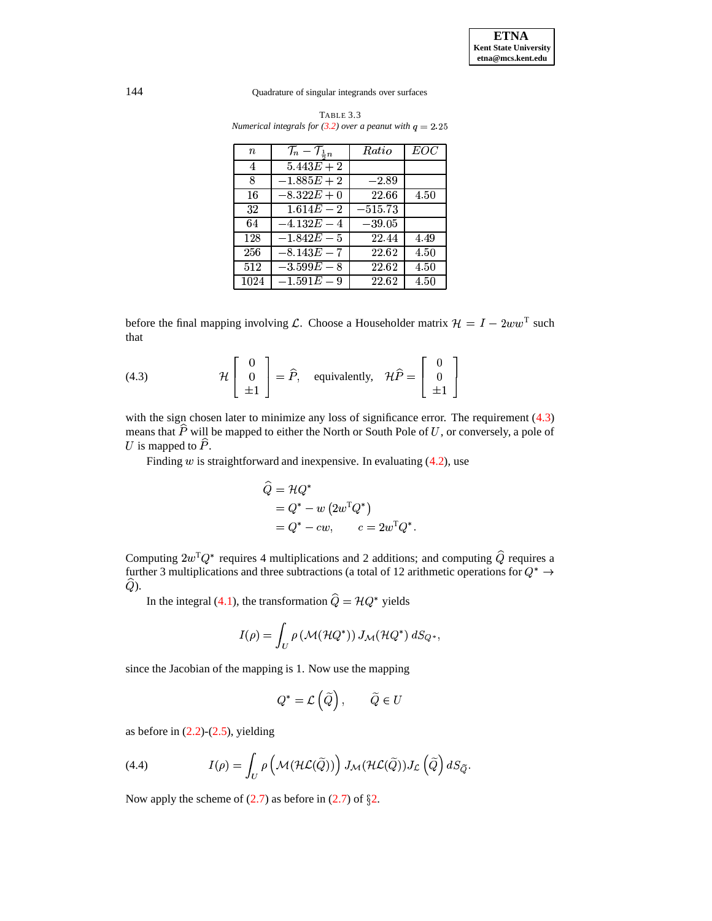| $\, n \,$ | $\mathcal{T}_n - \mathcal{T}_{\frac{1}{2}n}$ | Ratio     | EOC  |
|-----------|----------------------------------------------|-----------|------|
| 4         | $5.443E + 2$                                 |           |      |
| 8         | $-1.885E+2$                                  | $-2.89$   |      |
| 16        | $-8.322E + 0$                                | 22.66     | 4.50 |
| 32        | $1.614E - 2$                                 | $-515.73$ |      |
| 64        | $-4.132E - 4$                                | $-39.05$  |      |
| 128       | $-1.842E - 5$                                | 22.44     | 4.49 |
| 256       | $-8.143E - 7$                                | 22.62     | 4.50 |
| 512       | $-3.599E - 8$                                | 22.62     | 4.50 |
| 1024      | $-1.591E - 9$                                | 22.62     | 4.50 |

<span id="page-11-0"></span>TABLE 3.3 *Numerical integrals for*  $(3.2)$  *over a peanut with*  $q = 2.25$ 

<span id="page-11-1"></span>before the final mapping involving L. Choose a Householder matrix  $\mathcal{H} = I - 2ww^T$  such that

(4.3) 
$$
\mathcal{H}\begin{bmatrix} 0 \\ 0 \\ \pm 1 \end{bmatrix} = \widehat{P}
$$
, equivalently,  $\mathcal{H}\widehat{P} = \begin{bmatrix} 0 \\ 0 \\ \pm 1 \end{bmatrix}$ 

with the sign chosen later to minimize any loss of significance error. The requirement [\(4.3\)](#page-11-1) means that  $\hat{P}$  will be mapped to either the North or South Pole of U, or conversely, a pole of  $U$  is mapped to  $P$ .

Finding  $w$  is straightforward and inexpensive. In evaluating  $(4.2)$ , use

$$
\begin{aligned}\n\widehat{Q} &= \mathcal{H}Q^* \\
&= Q^* - w (2w^{\mathrm{T}}Q^*) \\
&= Q^* - cw, \qquad c = 2w^{\mathrm{T}}Q^*. \n\end{aligned}
$$

Computing  $2w^TQ^*$  requires 4 multiplications and 2 additions; and computing  $\widehat{Q}$  requires a further 3 multiplications and three subtractions (a total of 12 arithmetic operations for  $Q^* \to$  $\dddot{Q}$ ).

In the integral [\(4.1\)](#page-10-2), the transformation  $\widehat{Q} = \mathcal{H} Q^*$  yields

$$
I(\rho)=\int_U \rho\left(\mathcal{M}(\mathcal{HQ}^*)\right)J_\mathcal{M}(\mathcal{HQ}^*)\;dS_{Q^*},
$$

since the Jacobian of the mapping is 1. Now use the mapping

$$
Q^* = \mathcal{L}(\widetilde{Q}), \qquad \widetilde{Q} \in U
$$

as before in  $(2.2)-(2.5)$  $(2.2)-(2.5)$  $(2.2)-(2.5)$ , yielding

(4.4) 
$$
I(\rho) = \int_{U} \rho \left( \mathcal{M}(\mathcal{HL}(\tilde{Q})) \right) J_{\mathcal{M}}(\mathcal{HL}(\tilde{Q})) J_{\mathcal{L}} \left( \tilde{Q} \right) dS_{\tilde{Q}}.
$$

Now apply the scheme of  $(2.7)$  as before in  $(2.7)$  $(2.7)$  $(2.7)$  of  $\S2$ .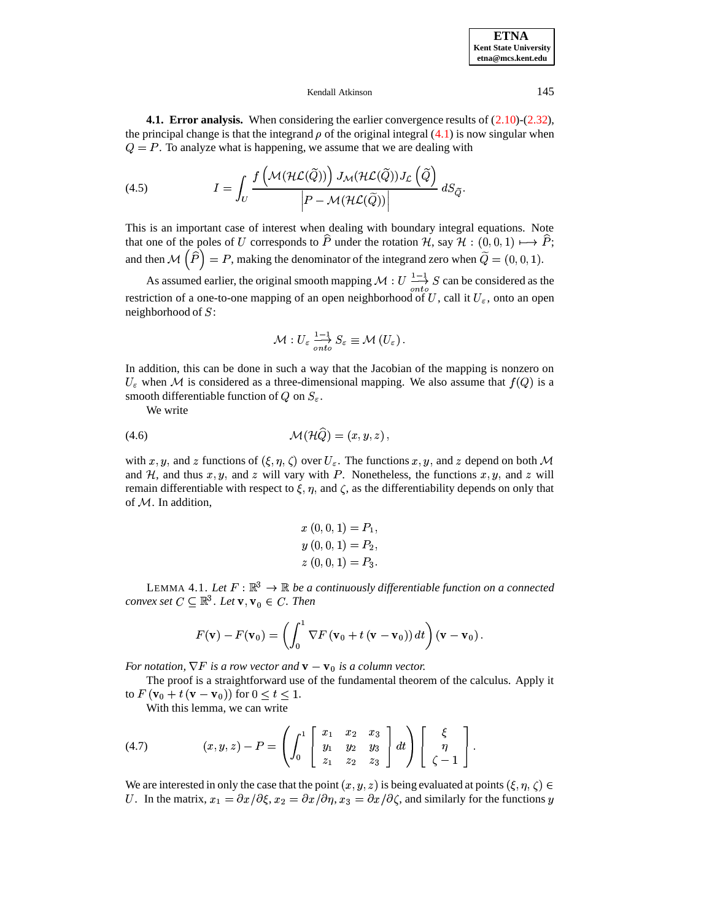<span id="page-12-0"></span>

**4.1. Error analysis.** When considering the earlier convergence results of [\(2.10\)](#page-3-1)-[\(2.32\)](#page-8-0), the principal change is that the integrand  $\rho$  of the original integral [\(4.1\)](#page-10-2) is now singular when  $Q = P$ . To analyze what is happening, we assume that we are dealing with

(4.5) 
$$
I = \int_{U} \frac{f\left(\mathcal{M}(\mathcal{HL}(\widetilde{Q}))\right)J_{\mathcal{M}}(\mathcal{HL}(\widetilde{Q}))J_{\mathcal{L}}\left(\widetilde{Q}\right)}{\left|P - \mathcal{M}(\mathcal{HL}(\widetilde{Q}))\right|} dS_{\widetilde{Q}}.
$$

This is an important case of interest when dealing with boundary integral equations. Note that one of the poles of U corresponds to  $\hat{P}$  under the rotation  $\mathcal{H}$ , say  $\mathcal{H} : (0,0,1) \mapsto \hat{P}$ ; that one of the poles of U corresponds to P under the rotation H, say  $H : (0, 0, 1) \mapsto P$ ;<br>and then  $M(\hat{P}) = P$ , making the denominator of the integrand zero when  $\tilde{Q} = (0, 0, 1)$ .

then  $M(P) = P$ , making the denominator of the integrand zero when  $Q = (0, 0, 1)$ .<br>As assumed earlier, the original smooth mapping  $M: U \frac{1-1}{\sigma} S$  can be considered as the restriction of a one-to-one mapping of an open neighborhood of U, call it  $U_{\varepsilon}$ , onto an open neighborhood of  $S$ :

$$
\mathcal{M}: U_\varepsilon \overset{1-1}{\underset{onto}{\longrightarrow}} S_\varepsilon \equiv \mathcal{M} \left( U_\varepsilon \right).
$$

In addition, this can be done in such a way that the Jacobian of the mapping is nonzero on  $U_{\varepsilon}$  when M is considered as a three-dimensional mapping. We also assume that  $f(Q)$  is a smooth differentiable function of Q on  $S_{\varepsilon}$ .

We write

$$
\mathcal{M}(\mathcal{H}\widehat{Q}) = (x, y, z),
$$

with  $x, y$ , and z functions of  $(\xi, \eta, \zeta)$  over  $U_{\varepsilon}$ . The functions  $x, y$ , and z depend on both M and H, and thus  $x, y$ , and z will vary with P. Nonetheless, the functions  $x, y$ , and z will remain differentiable with respect to  $\xi, \eta$ , and  $\zeta$ , as the differentiability depends on only that of M. In addition, of  $M$ . In addition,

$$
x(0,0,1) = P_1,
$$
  
\n
$$
y(0,0,1) = P_2,
$$
  
\n
$$
z(0,0,1) = P_3.
$$

LEMMA 4.1. Let  $F : \mathbb{R}^3 \to \mathbb{R}$  be a continuously differentiable function on a connected  $convex set C \subseteq \mathbb{R}^3$ . Let  $\mathbf{v}, \mathbf{v}_0 \in C$ . Then

$$
F(\mathbf{v}) - F(\mathbf{v}_0) = \left( \int_0^1 \nabla F(\mathbf{v}_0 + t(\mathbf{v} - \mathbf{v}_0)) dt \right) (\mathbf{v} - \mathbf{v}_0).
$$

*For notation,*  $\nabla F$  *is a row vector and*  $\mathbf{v} - \mathbf{v}_0$  *is a column vector.* 

The proof is a straightforward use of the fundamental theorem of the calculus. Apply it to  $F(\mathbf{v}_0 + t(\mathbf{v}-\mathbf{v}_0))$  for  $0 \le t \le 1$ .

<span id="page-12-1"></span>With this lemma, we can write

(4.7) 
$$
(x, y, z) - P = \left( \int_0^1 \begin{bmatrix} x_1 & x_2 & x_3 \ y_1 & y_2 & y_3 \ z_1 & z_2 & z_3 \end{bmatrix} dt \right) \begin{bmatrix} \xi \\ \eta \\ \zeta - 1 \end{bmatrix}.
$$

We are interested in only the case that the point  $(x, y, z)$  is being evaluated at points  $(\xi, \eta, \zeta) \in$ U. In the matrix,  $x_1 = \partial x/\partial \xi$ ,  $x_2 = \partial x/\partial \eta$ ,  $x_3 = \partial x/\partial \zeta$ , and similarly for the functions y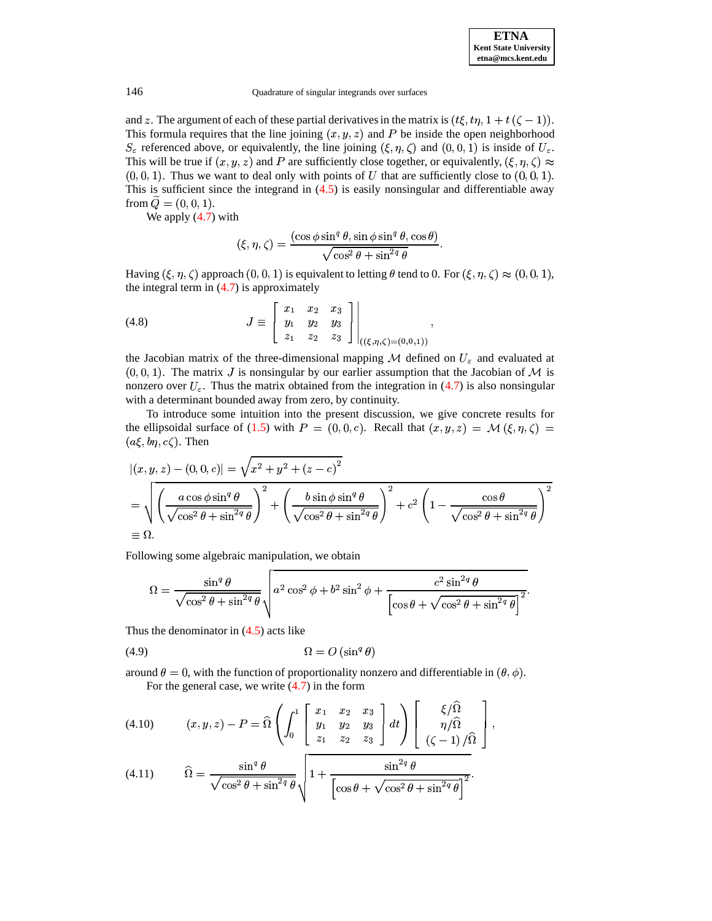and z. The argument of each of these partial derivatives in the matrix is  $(t\xi, t\eta, 1 + t(\zeta - 1))$ . and z. The argument of each of these partial derivatives in the matrix is  $(t\xi, t\eta, 1 + t(\zeta - 1))$ .<br>This formula requires that the line joining  $(x, y, z)$  and P be inside the open neighborhood  $S_{\varepsilon}$  referenced above, or equivalently, the line joining  $(\xi, \eta, \zeta)$  and  $(0, 0, 1)$  is inside of  $U_{\varepsilon}$ .  $S_{\varepsilon}$  referenced above, or equivalently, the line joining  $(\xi, \eta, \zeta)$  and  $(0, 0, 1)$  is inside of  $U_{\varepsilon}$ .<br>This will be true if  $(x, y, z)$  and P are sufficiently close together, or equivalently,  $(\xi, \eta, \zeta) \approx$  $(0,0,1)$ . Thus we want to deal only with points of U that are sufficiently close to  $(0,0,1)$ .  $(0,0,1)$ . Thus we want to deal only with points of U that are sufficiently close to  $(0,0,1)$ .<br>This is sufficient since the integrand in  $(4.5)$  is easily nonsingular and differentiable away <sup>R</sup> \* from  $Q = (0, 0, 1)$ .

 $W = (0, 0, 1).$ <br>We apply [\(4.7\)](#page-12-1) with

$$
(\xi, \eta, \zeta) = \frac{(\cos \phi \sin^q \theta, \sin \phi \sin^q \theta, \cos \theta)}{\sqrt{\cos^2 \theta + \sin^{2q} \theta}}.
$$

Having  $(\xi, \eta, \zeta)$  approach  $(0, 0, 1)$  is equivalent to letting  $\theta$  tend to 0. For  $(\xi, \eta, \zeta) \approx (0, 0, 1)$ , the integral term in  $(4.7)$  is approximately Having  $(\xi, \eta, \zeta)$  approach  $(0, 0, 1)$  is equiv<br>the integral term in  $(4.7)$  is approximately

(4.8) 
$$
J \equiv \begin{bmatrix} x_1 & x_2 & x_3 \ y_1 & y_2 & y_3 \ z_1 & z_2 & z_3 \end{bmatrix} \Big|_{((\xi,\eta,\zeta)=(0,0,1))},
$$

the Jacobian matrix of the three-dimensional mapping  $M$  defined on  $U_{\varepsilon}$  and evaluated at  $(0,0,1)$ . The matrix J is nonsingular by our earlier assumption that the Jacobian of M is (0, 0, 1). The matrix J is nonsingular by our earlier assumption that the Jacobian of  $\mathcal{M}$  is nonzero over  $U_{\varepsilon}$ . Thus the matrix obtained from the integration in [\(4.7\)](#page-12-1) is also nonsingular with a determinant bounded away from zero, by continuity.

To introduce some intuition into the present discussion, we give concrete results for the ellipsoidal surface of [\(1.5\)](#page-0-3) with  $P = (0,0,c)$ . Recall that  $(x, y, z) = M(\xi, \eta, \zeta) = (a\xi, b\eta, c\zeta)$ . Then  $(a\xi, b\eta, c\zeta)$ . Then

$$
|(x, y, z) - (0, 0, c)| = \sqrt{x^2 + y^2 + (z - c)^2}
$$
  
=  $\sqrt{\left(\frac{a \cos \phi \sin^q \theta}{\sqrt{\cos^2 \theta + \sin^{2q} \theta}}\right)^2 + \left(\frac{b \sin \phi \sin^q \theta}{\sqrt{\cos^2 \theta + \sin^{2q} \theta}}\right)^2 + c^2 \left(1 - \frac{\cos \theta}{\sqrt{\cos^2 \theta + \sin^{2q} \theta}}\right)^2}$   
=  $\Omega$ .

Following some algebraic manipulation, we obtain

<span id="page-13-1"></span>—

$$
\Omega = \frac{\sin^q \theta}{\sqrt{\cos^2 \theta + \sin^{2q} \theta}} \sqrt{a^2 \cos^2 \phi + b^2 \sin^2 \phi + \frac{c^2 \sin^{2q} \theta}{\left[\cos \theta + \sqrt{\cos^2 \theta + \sin^{2q} \theta}\right]^2}}.
$$

Thus the denominator in  $(4.5)$  acts like

$$
(4.9) \t\t\t\t\t\Omega = O\left(\sin^q \theta\right)
$$

around  $\theta = 0$ , with the function of proportionality nonzero and differentiable in  $(\theta, \phi)$ .<br>For the general case, we write (4.7) in the form . For the general case, we write  $(4.7)$  in the form

<span id="page-13-0"></span>
$$
(4.10) \qquad (x,y,z)-P=\widehat{\Omega}\left(\int_0^1\left[\begin{array}{ccc}x_1&x_2&x_3\\y_1&y_2&y_3\\z_1&z_2&z_3\end{array}\right]dt\right)\left[\begin{array}{c}\xi/\widehat{\Omega}\\ \eta/\widehat{\Omega}\\ (\zeta-1)/\widehat{\Omega}\end{array}\right],
$$

(4.11) 
$$
\widehat{\Omega} = \frac{\sin^q \theta}{\sqrt{\cos^2 \theta + \sin^{2q} \theta}} \sqrt{1 + \frac{\sin^{2q} \theta}{\left[\cos \theta + \sqrt{\cos^2 \theta + \sin^{2q} \theta}\right]^2}}.
$$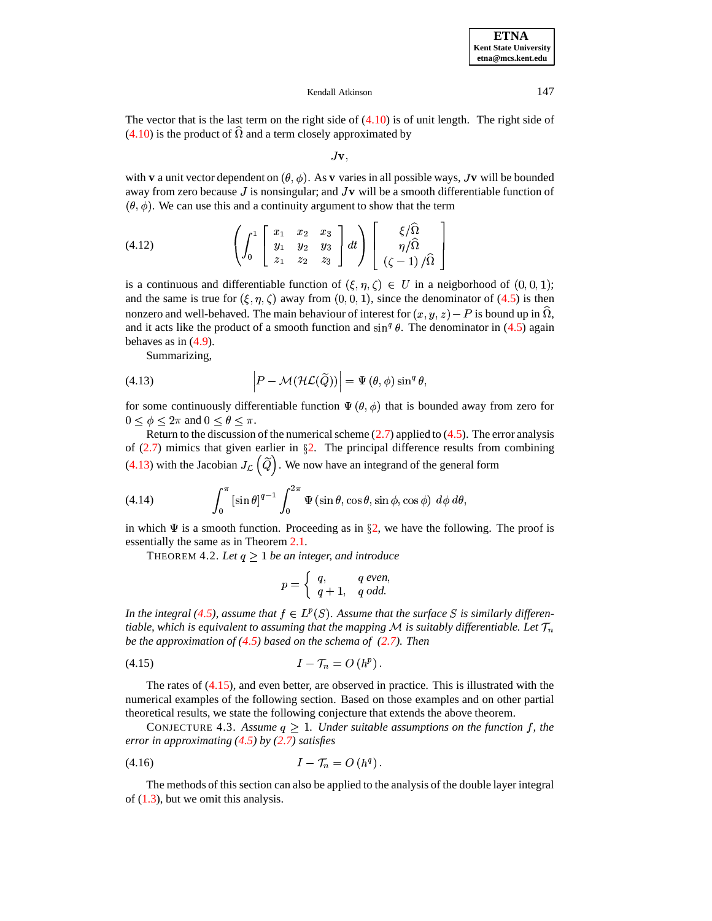The vector that is the last term on the right side of  $(4.10)$  is of unit length. The right side of  $(4.10)$  is the product of  $\hat{\Omega}$  and a term closely approximated by

 $J_{\mathbf{v}}$ 

with **v** a unit vector dependent on  $(\theta, \phi)$ . As **v** varies in all possible ways, J**v** will be bounded away from zero because  $J$  is nonsingular; and  $Jv$  will be a smooth differentiable function of  $(\theta, \phi)$ . We can use this and a continuity argument to show that the term

$$
(4.12) \qquad \left(\int_0^1 \begin{bmatrix} x_1 & x_2 & x_3 \\ y_1 & y_2 & y_3 \\ z_1 & z_2 & z_3 \end{bmatrix} dt\right) \begin{bmatrix} \xi/\widehat{\Omega} \\ \eta/\widehat{\Omega} \\ (\zeta - 1)/\widehat{\Omega} \end{bmatrix}
$$

is a continuous and differentiable function of  $(\xi, \eta, \zeta) \in U$  in a neigborhood of  $(0, 0, 1)$ ; is a continuous and differentiable function of  $(\xi, \eta, \zeta) \in U$  in a neigborhood of  $(0, 0, 1)$ ;<br>and the same is true for  $(\xi, \eta, \zeta)$  away from  $(0, 0, 1)$ , since the denominator of  $(4.5)$  is then and the same is true for  $(\xi, \eta, \zeta)$  away from  $(0, 0, 1)$ , since the denominator of  $(4.5)$  is then<br>nonzero and well-behaved. The main behaviour of interest for  $(x, y, z) - P$  is bound up in  $\hat{\Omega}$ , and it acts like the product of a smooth function and  $\sin^q \theta$ . The denominator in [\(4.5\)](#page-12-0) again behaves as in  $(4.9)$ .

<span id="page-14-0"></span>Summarizing,

(4.13) 
$$
\left| P - \mathcal{M}(\mathcal{HL}(\widetilde{Q})) \right| = \Psi(\theta, \phi) \sin^q \theta,
$$

for some continuously differentiable function  $\Psi(\theta, \phi)$  that is bounded away from zero for  $0 \le \phi \le 2\pi$  and  $0 \le \theta \le \pi$ .  $0 \leq \phi \leq 2\pi$  and  $0 \leq \theta \leq \pi$ .

Return to the discussion of the numerical scheme  $(2.7)$  applied to  $(4.5)$ . The error analysis of [\(2.7\)](#page-2-1) mimics that given earlier in  $\S$ [2.](#page-1-0) The principal difference results from combining [\(4.13\)](#page-14-0) with the Jacobian  $J_{\mathcal{L}}(\tilde{Q})$ . We now have an integrand of the general form

(4.14) 
$$
\int_0^{\pi} \left[ \sin \theta \right]^{q-1} \int_0^{2\pi} \Psi \left( \sin \theta, \cos \theta, \sin \phi, \cos \phi \right) d\phi d\theta,
$$

in which  $\Psi$  is a smooth function. Proceeding as in  $\S 2$ , we have the following. The proof is essentially the same as in Theorem [2.1.](#page-3-3)

THEOREM 4.2. Let  $q \geq 1$  be an integer, and introduce

<span id="page-14-1"></span>
$$
p = \begin{cases} q, & q \text{ even,} \\ q+1, & q \text{ odd.} \end{cases}
$$

*P*  $\sqsubset$   $\bigcup$  *q* + 1*, q odd.*<br>*In the integral [\(4.5\)](#page-12-0), assume that*  $f \in L^p(S)$ *. Assume that the surface S* is similarly differentiable, which is equivalent to assuming that the mapping  ${\cal M}$  is suitably differentiable. Let  ${\cal T}_n$ *be the approximation of [\(4.5\)](#page-12-0) based on the schema of [\(2.7\)](#page-2-1). Then*

$$
(4.15) \tI - \mathcal{T}_n = O(h^p).
$$

The rates of [\(4.15\)](#page-14-1), and even better, are observed in practice. This is illustrated with the numerical examples of the following section. Based on those examples and on other partial theoretical results, we state the following conjecture that extends the above theorem.

<span id="page-14-2"></span>CONJECTURE 4.3. Assume  $q \geq 1$ . Under suitable assumptions on the function f, the \* *error in approximating [\(4.5\)](#page-12-0) by [\(2.7\)](#page-2-1) satisfies*

$$
(4.16) \tI - \mathcal{T}_n = O(h^q).
$$

The methods of this section can also be applied to the analysis of the double layer integral of  $(1.3)$ , but we omit this analysis.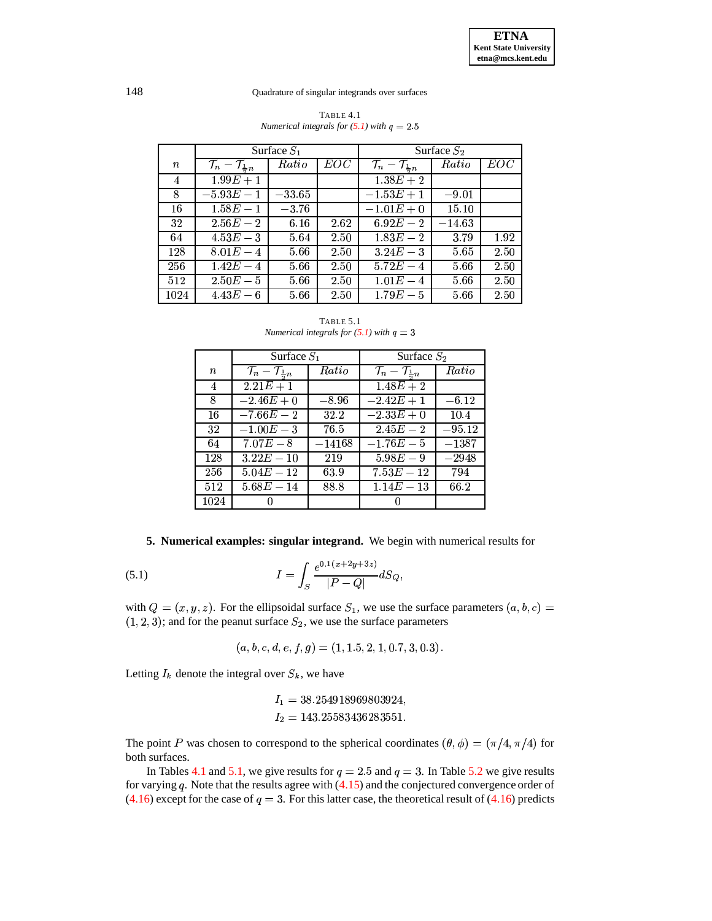|        |                                              | Surface $S_1$ |      | Surface $S_2$                                |          |      |  |  |  |
|--------|----------------------------------------------|---------------|------|----------------------------------------------|----------|------|--|--|--|
| $\, n$ | $\mathcal{T}_n - \mathcal{T}_{\frac{1}{2}n}$ | Ratio         | EOC  | $\mathcal{T}_n - \mathcal{T}_{\frac{1}{2}n}$ | Ratio    | EOC  |  |  |  |
| 4      | $1.99E + 1$                                  |               |      | $1.38E + 2$                                  |          |      |  |  |  |
| 8      | $-5.93E - 1$                                 | $-33.65$      |      | $-1.53E + 1$                                 | $-9.01$  |      |  |  |  |
| 16     | $1.58E - 1$                                  | $-3.76$       |      | $-1.01E + 0$                                 | 15.10    |      |  |  |  |
| 32     | $2.56E-2$                                    | 6.16          | 2.62 | $6.92E - 2$                                  | $-14.63$ |      |  |  |  |
| 64     | $4.53E-3$                                    | 5.64          | 2.50 | $1.83E - 2$                                  | 3.79     | 1.92 |  |  |  |
| 128    | $8.01E - 4$                                  | 5.66          | 2.50 | $3.24E - 3$                                  | 5.65     | 2.50 |  |  |  |
| 256    | $1.42E - 4$                                  | 5.66          | 2.50 | $5.72E - 4$                                  | 5.66     | 2.50 |  |  |  |
| 512    | $2.50E-5$                                    | 5.66          | 2.50 | $1.01E - 4$                                  | 5.66     | 2.50 |  |  |  |
| 1024   | $4.43E-6$                                    | 5.66          | 2.50 | $1.79E - 5$                                  | 5.66     | 2.50 |  |  |  |

| TABLE 4.1                                      |  |
|------------------------------------------------|--|
| Numerical integrals for $(5.1)$ with $q = 2.5$ |  |

TABLE 5.1 Numerical integrals for  $(5.1)$  with  $q = 3$ 

<span id="page-15-1"></span>

|                  | Surface $S_1$                                |          | Surface $S_2$                                |          |  |  |  |
|------------------|----------------------------------------------|----------|----------------------------------------------|----------|--|--|--|
| $\boldsymbol{n}$ | $\mathcal{T}_n - \mathcal{T}_{\frac{1}{2}n}$ | Ratio    | $\mathcal{T}_n - \mathcal{T}_{\frac{1}{2}n}$ | Ratio    |  |  |  |
| 4                | $\sqrt{2.21E+1}$                             |          | $1.48E + 2$                                  |          |  |  |  |
| 8                | $-2.46E + 0$                                 | $-8.96$  | $-2.42E + 1$                                 | $-6.12$  |  |  |  |
| 16               | $-7.66E - 2$                                 | 32.2     | $-2.33E + 0$                                 | 10.4     |  |  |  |
| 32               | $-1.00E - 3$                                 | 76.5     | $2.45E - 2$                                  | $-95.12$ |  |  |  |
| 64               | $7.07E-8$                                    | $-14168$ | $\overline{-1.76E} - 5$                      | $-1387$  |  |  |  |
| 128              | $3.22E - 10$                                 | 219      | $5.98E - 9$                                  | $-2948$  |  |  |  |
| 256              | $5.04E - 12$                                 | 63.9     | $7.53E - 12$                                 | 794      |  |  |  |
| 512              | $5.68E - 14$                                 | 88.8     | $\overline{1.14E} - 13$                      | 66.2     |  |  |  |
| 1024             |                                              |          |                                              |          |  |  |  |

5. Numerical examples: singular integrand. We begin with numerical results for

<span id="page-15-0"></span>(5.1) 
$$
I = \int_{S} \frac{e^{0.1(x+2y+3z)}}{|P-Q|} dS_Q
$$

with  $Q = (x, y, z)$ . For the ellipsoidal surface  $S_1$ , we use the surface parameters  $(a, b, c)$  $(1, 2, 3)$ ; and for the peanut surface  $S_2$ , we use the surface parameters

<span id="page-15-2"></span>
$$
(a, b, c, d, e, f, g) = (1, 1.5, 2, 1, 0.7, 3, 0.3).
$$

Letting  $I_k$  denote the integral over  $S_k$ , we have

$$
I_1 = 38.254918969803924,
$$
  

$$
I_2 = 143.25583436283551.
$$

The point P was chosen to correspond to the spherical coordinates  $(\theta, \phi) = (\pi/4, \pi/4)$  for both surfaces.

In Tables 4.1 and 5.1, we give results for  $q = 2.5$  and  $q = 3$ . In Table 5.2 we give results for varying  $q$ . Note that the results agree with  $(4.15)$  and the conjectured convergence order of  $(4.16)$  except for the case of  $q = 3$ . For this latter case, the theoretical result of  $(4.16)$  predicts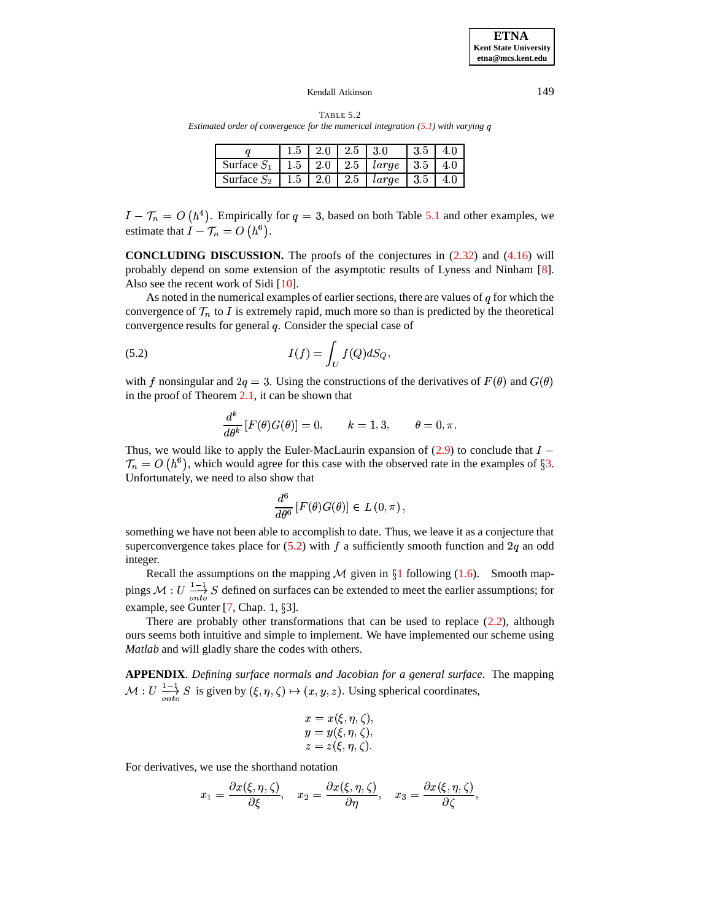| TABLE 5.2                                                                           |  |
|-------------------------------------------------------------------------------------|--|
| Estimated order of convergence for the numerical integration $(5.1)$ with varying q |  |

|                                                            |  | 1.5   2.0   2.5   3.0 | $13.5$   4.0 |  |
|------------------------------------------------------------|--|-----------------------|--------------|--|
| Surface $S_1$   1.5   2.0   2.5   large   3.5   4.0        |  |                       |              |  |
| Surface $S_2$   1.5   2.0   2.5   <i>large</i>   3.5   4.0 |  |                       |              |  |

<span id="page-16-0"></span> $I - \mathcal{T}_n = O(h^4)$ . Empirically for  $q = 3$ , based on both Table [5.1](#page-15-1) and other examples, we estimate that  $I - \mathcal{T}_n = O(h^6)$ .

**CONCLUDING DISCUSSION.** The proofs of the conjectures in [\(2.32\)](#page-8-0) and [\(4.16\)](#page-14-2) will probably depend on some extension of the asymptotic results of Lyness and Ninham [\[8\]](#page-17-10). Also see the recent work of Sidi [\[10\]](#page-17-6).

As noted in the numerical examples of earlier sections, there are values of  $q$  for which the convergence of  $\mathcal{T}_n$  to I is extremely rapid, much more so than is predicted by the theoretical convergence results for general  $q$ . Consider the special case of

(5.2) 
$$
I(f) = \int_U f(Q) dS_Q,
$$

<span id="page-16-1"></span>

with f nonsingular and  $2q = 3$ . Using the constructions of the derivatives of  $F(\theta)$  and  $G(\theta)$ in the proof of Theorem [2.1,](#page-3-3) it can be shown that

$$
\frac{d^k}{d\theta^k} \left[ F(\theta) G(\theta) \right] = 0, \qquad k = 1, 3, \qquad \theta = 0, \pi.
$$

Thus, we would like to apply the Euler-MacLaurin expansion of  $(2.9)$  to conclude that  $I -$ Unfortunately, we need to also show that  $\zeta_n = O(h^6)$ , which would agree for this case with the observed rate in the examples of §[3.](#page-9-0)

$$
\frac{d^6}{d\theta^6}\left[F(\theta)G(\theta)\right]\in L(0,\pi)\,,
$$

something we have not been able to accomplish to date. Thus, we leave it as a conjecture that superconvergence takes place for  $(5.2)$  with f a sufficiently smooth function and  $2q$  an odd integer.

Recall the assumptions on the mapping  $M$  given in  $\S1$  $\S1$  following [\(1.6\)](#page-0-2). Smooth mappings  $\mathcal{M}: U \longrightarrow S$  defined on surfaces can be extended to meet the earlier assumptions; for example, see Gunter  $[7, Chap. 1, \S3]$  $[7, Chap. 1, \S3]$ .

There are probably other transformations that can be used to replace  $(2.2)$ , although ours seems both intuitive and simple to implement. We have implemented our scheme using *Matlab* and will gladly share the codes with others.

**APPENDIX**. *Defining surface normals and Jacobian for a general surface*. The mapping  $M: U \longrightarrow_{onto}^{1-1} S$  is given by  $(\xi, \eta, \zeta) \mapsto (x, y, z)$ . Using spherical coordinates,

$$
x = x(\xi, \eta, \zeta),
$$
  
\n
$$
y = y(\xi, \eta, \zeta),
$$
  
\n
$$
z = z(\xi, \eta, \zeta).
$$

For derivatives, we use the shorthand notation

$$
x_1 = \frac{\partial x(\xi, \eta, \zeta)}{\partial \xi}, \quad x_2 = \frac{\partial x(\xi, \eta, \zeta)}{\partial \eta}, \quad x_3 = \frac{\partial x(\xi, \eta, \zeta)}{\partial \zeta},
$$